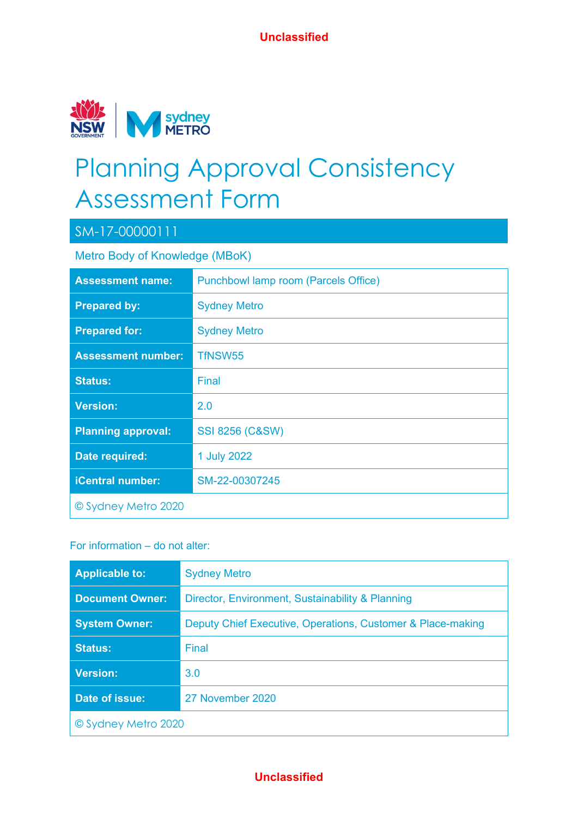

# Planning Approval Consistency Assessment Form

### SM-17-00000111

Metro Body of Knowledge (MBoK)

| <b>Assessment name:</b>   | <b>Punchbowl lamp room (Parcels Office)</b> |
|---------------------------|---------------------------------------------|
| <b>Prepared by:</b>       | <b>Sydney Metro</b>                         |
| <b>Prepared for:</b>      | <b>Sydney Metro</b>                         |
| <b>Assessment number:</b> | TfNSW55                                     |
| <b>Status:</b>            | Final                                       |
| <b>Version:</b>           | 2.0                                         |
| <b>Planning approval:</b> | <b>SSI 8256 (C&amp;SW)</b>                  |
| Date required:            | 1 July 2022                                 |
| <b>iCentral number:</b>   | SM-22-00307245                              |
| © Sydney Metro 2020       |                                             |

### For information – do not alter:

| <b>Applicable to:</b>  | <b>Sydney Metro</b>                                         |  |  |
|------------------------|-------------------------------------------------------------|--|--|
| <b>Document Owner:</b> | Director, Environment, Sustainability & Planning            |  |  |
| <b>System Owner:</b>   | Deputy Chief Executive, Operations, Customer & Place-making |  |  |
| <b>Status:</b>         | Final                                                       |  |  |
| <b>Version:</b>        | 3.0                                                         |  |  |
| Date of issue:         | 27 November 2020                                            |  |  |
| © Sydney Metro 2020    |                                                             |  |  |

#### **Unclassified**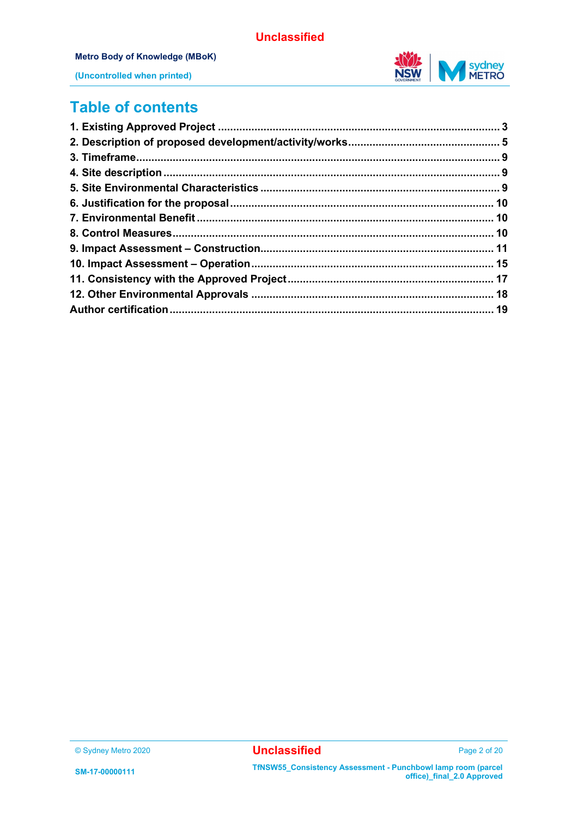

#### **Metro Body of Knowledge (MBoK)**



**(Uncontrolled when printed)**

### **Table of contents**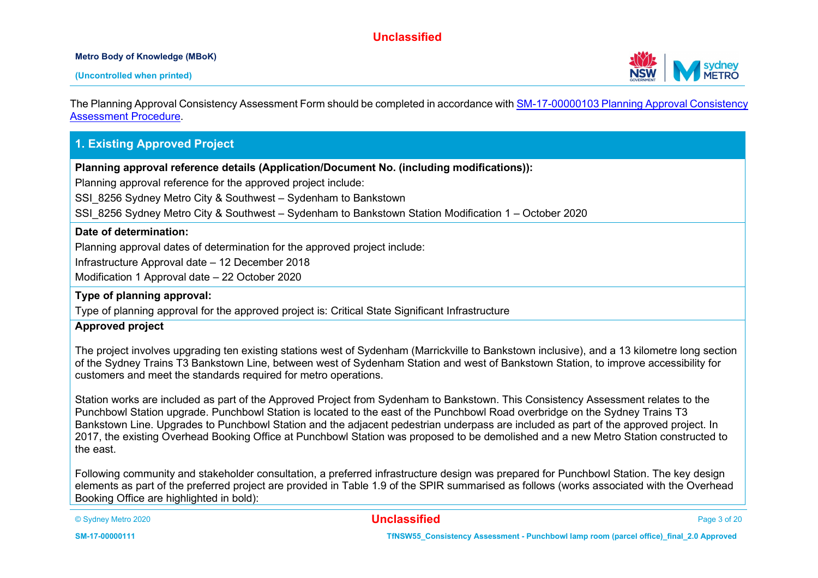#### **Metro Body of Knowledge (MBoK)**



The Planning Approval Consistency Assessment Form should be completed in accordance wit[h SM-17-00000103 Planning Approval Consistency](https://icentral.tdocs.transport.nsw.gov.au/otcs/cs.exe/app/nodes/3843028)  [Assessment Procedure.](https://icentral.tdocs.transport.nsw.gov.au/otcs/cs.exe/app/nodes/3843028)

#### **1. Existing Approved Project**

**Planning approval reference details (Application/Document No. (including modifications)):**

Planning approval reference for the approved project include:

SSI\_8256 Sydney Metro City & Southwest – Sydenham to Bankstown

SSI\_8256 Sydney Metro City & Southwest – Sydenham to Bankstown Station Modification 1 – October 2020

#### **Date of determination:**

Planning approval dates of determination for the approved project include:

Infrastructure Approval date – 12 December 2018

Modification 1 Approval date – 22 October 2020

#### **Type of planning approval:**

Type of planning approval for the approved project is: Critical State Significant Infrastructure

#### **Approved project**

The project involves upgrading ten existing stations west of Sydenham (Marrickville to Bankstown inclusive), and a 13 kilometre long section of the Sydney Trains T3 Bankstown Line, between west of Sydenham Station and west of Bankstown Station, to improve accessibility for customers and meet the standards required for metro operations.

Station works are included as part of the Approved Project from Sydenham to Bankstown. This Consistency Assessment relates to the Punchbowl Station upgrade. Punchbowl Station is located to the east of the Punchbowl Road overbridge on the Sydney Trains T3 Bankstown Line. Upgrades to Punchbowl Station and the adjacent pedestrian underpass are included as part of the approved project. In 2017, the existing Overhead Booking Office at Punchbowl Station was proposed to be demolished and a new Metro Station constructed to the east.

Following community and stakeholder consultation, a preferred infrastructure design was prepared for Punchbowl Station. The key design elements as part of the preferred project are provided in Table 1.9 of the SPIR summarised as follows (works associated with the Overhead Booking Office are highlighted in bold):

© Sydney Metro 2020 **Unclassified** Page 3 of 20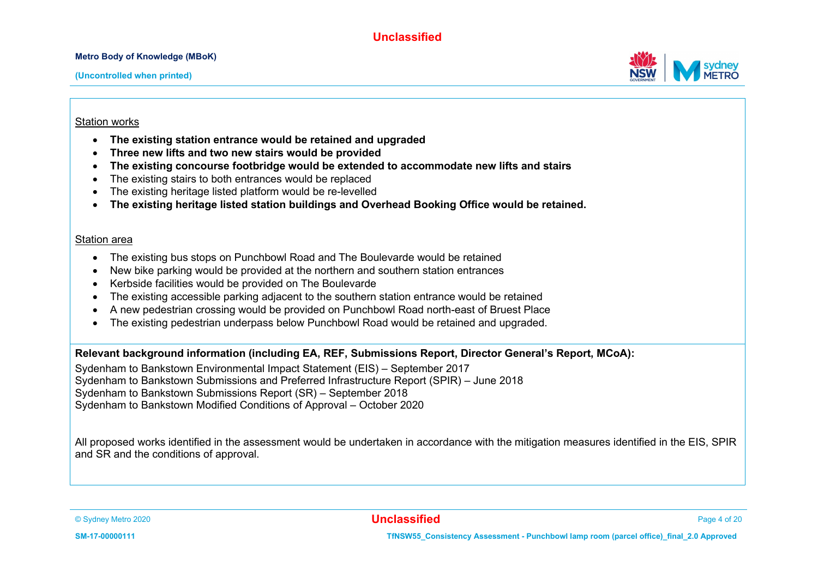**Metro Body of Knowledge (MBoK)**



#### Station works

- **The existing station entrance would be retained and upgraded**
- **Three new lifts and two new stairs would be provided**
- **The existing concourse footbridge would be extended to accommodate new lifts and stairs**
- The existing stairs to both entrances would be replaced
- The existing heritage listed platform would be re-levelled
- **The existing heritage listed station buildings and Overhead Booking Office would be retained.**

#### Station area

- The existing bus stops on Punchbowl Road and The Boulevarde would be retained
- New bike parking would be provided at the northern and southern station entrances
- Kerbside facilities would be provided on The Boulevarde
- The existing accessible parking adjacent to the southern station entrance would be retained
- A new pedestrian crossing would be provided on Punchbowl Road north-east of Bruest Place
- The existing pedestrian underpass below Punchbowl Road would be retained and upgraded.

**Relevant background information (including EA, REF, Submissions Report, Director General's Report, MCoA):**

Sydenham to Bankstown Environmental Impact Statement (EIS) – September 2017 Sydenham to Bankstown Submissions and Preferred Infrastructure Report (SPIR) – June 2018 Sydenham to Bankstown Submissions Report (SR) – September 2018 Sydenham to Bankstown Modified Conditions of Approval – October 2020

All proposed works identified in the assessment would be undertaken in accordance with the mitigation measures identified in the EIS, SPIR and SR and the conditions of approval.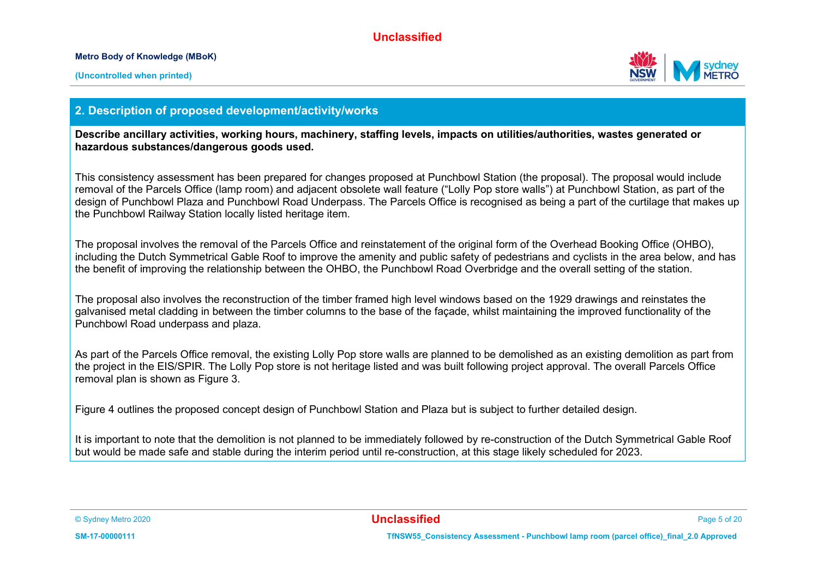**Metro Body of Knowledge (MBoK)**



#### **2. Description of proposed development/activity/works**

**Describe ancillary activities, working hours, machinery, staffing levels, impacts on utilities/authorities, wastes generated or hazardous substances/dangerous goods used.**

This consistency assessment has been prepared for changes proposed at Punchbowl Station (the proposal). The proposal would include removal of the Parcels Office (lamp room) and adjacent obsolete wall feature ("Lolly Pop store walls") at Punchbowl Station, as part of the design of Punchbowl Plaza and Punchbowl Road Underpass. The Parcels Office is recognised as being a part of the curtilage that makes up the Punchbowl Railway Station locally listed heritage item.

The proposal involves the removal of the Parcels Office and reinstatement of the original form of the Overhead Booking Office (OHBO), including the Dutch Symmetrical Gable Roof to improve the amenity and public safety of pedestrians and cyclists in the area below, and has the benefit of improving the relationship between the OHBO, the Punchbowl Road Overbridge and the overall setting of the station.

The proposal also involves the reconstruction of the timber framed high level windows based on the 1929 drawings and reinstates the galvanised metal cladding in between the timber columns to the base of the façade, whilst maintaining the improved functionality of the Punchbowl Road underpass and plaza.

As part of the Parcels Office removal, the existing Lolly Pop store walls are planned to be demolished as an existing demolition as part from the project in the EIS/SPIR. The Lolly Pop store is not heritage listed and was built following project approval. The overall Parcels Office removal plan is shown as Figure 3.

Figure 4 outlines the proposed concept design of Punchbowl Station and Plaza but is subject to further detailed design.

It is important to note that the demolition is not planned to be immediately followed by re-construction of the Dutch Symmetrical Gable Roof but would be made safe and stable during the interim period until re-construction, at this stage likely scheduled for 2023.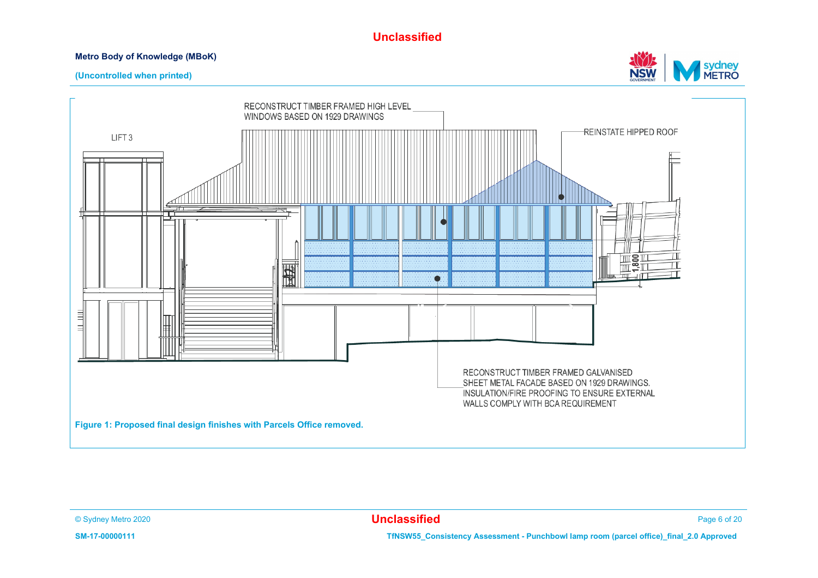#### **Metro Body of Knowledge (MBoK)**



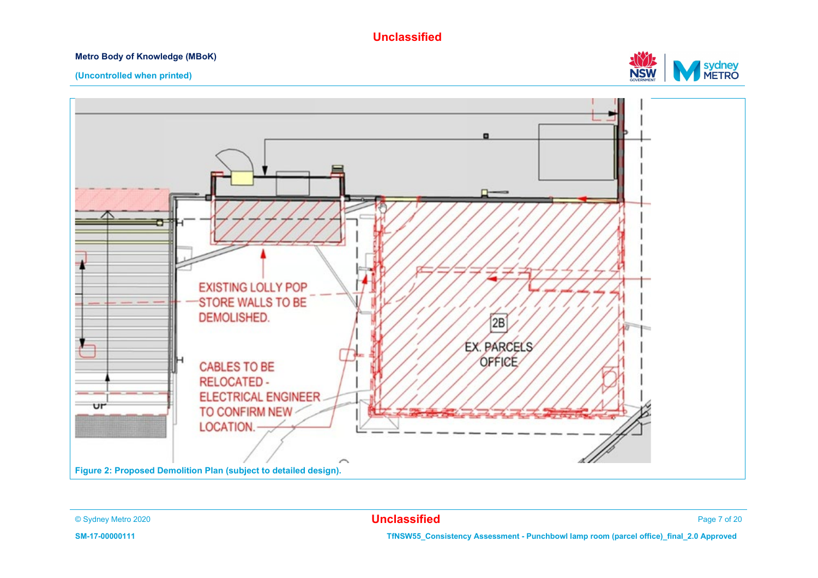#### **Metro Body of Knowledge (MBoK)**



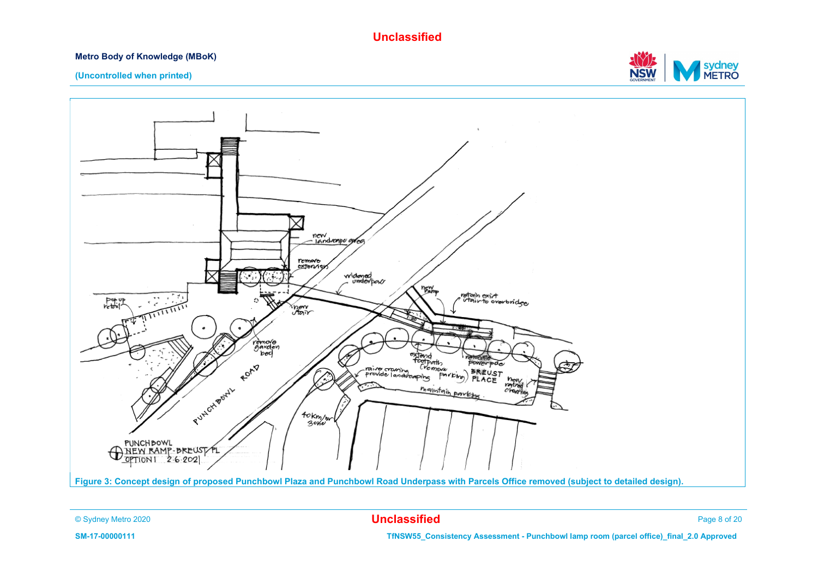#### **Metro Body of Knowledge (MBoK)**



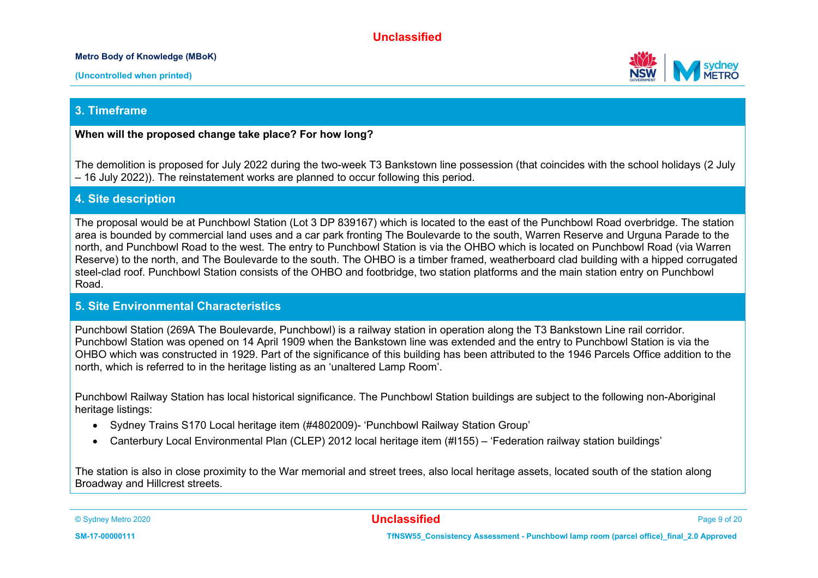#### **Metro Body of Knowledge (MBoK)**





#### **3. Timeframe**

#### **When will the proposed change take place? For how long?**

The demolition is proposed for July 2022 during the two-week T3 Bankstown line possession (that coincides with the school holidays (2 July – 16 July 2022)). The reinstatement works are planned to occur following this period.

#### **4. Site description**

The proposal would be at Punchbowl Station (Lot 3 DP 839167) which is located to the east of the Punchbowl Road overbridge. The station area is bounded by commercial land uses and a car park fronting The Boulevarde to the south, Warren Reserve and Urguna Parade to the north, and Punchbowl Road to the west. The entry to Punchbowl Station is via the OHBO which is located on Punchbowl Road (via Warren Reserve) to the north, and The Boulevarde to the south. The OHBO is a timber framed, weatherboard clad building with a hipped corrugated steel-clad roof. Punchbowl Station consists of the OHBO and footbridge, two station platforms and the main station entry on Punchbowl Road.

#### **5. Site Environmental Characteristics**

Punchbowl Station (269A The Boulevarde, Punchbowl) is a railway station in operation along the T3 Bankstown Line rail corridor. Punchbowl Station was opened on 14 April 1909 when the Bankstown line was extended and the entry to Punchbowl Station is via the OHBO which was constructed in 1929. Part of the significance of this building has been attributed to the 1946 Parcels Office addition to the north, which is referred to in the heritage listing as an 'unaltered Lamp Room'.

Punchbowl Railway Station has local historical significance. The Punchbowl Station buildings are subject to the following non-Aboriginal heritage listings:

- Sydney Trains S170 Local heritage item (#4802009)- 'Punchbowl Railway Station Group'
- Canterbury Local Environmental Plan (CLEP) 2012 local heritage item (#I155) 'Federation railway station buildings'

The station is also in close proximity to the War memorial and street trees, also local heritage assets, located south of the station along Broadway and Hillcrest streets.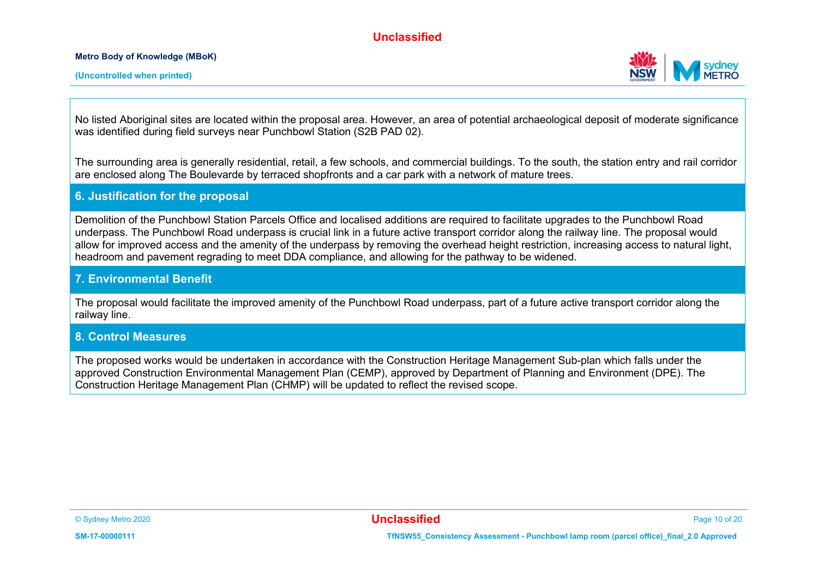**Metro Body of Knowledge (MBoK)**



No listed Aboriginal sites are located within the proposal area. However, an area of potential archaeological deposit of moderate significance was identified during field surveys near Punchbowl Station (S2B PAD 02).

The surrounding area is generally residential, retail, a few schools, and commercial buildings. To the south, the station entry and rail corridor are enclosed along The Boulevarde by terraced shopfronts and a car park with a network of mature trees.

#### **6. Justification for the proposal**

Demolition of the Punchbowl Station Parcels Office and localised additions are required to facilitate upgrades to the Punchbowl Road underpass. The Punchbowl Road underpass is crucial link in a future active transport corridor along the railway line. The proposal would allow for improved access and the amenity of the underpass by removing the overhead height restriction, increasing access to natural light, headroom and pavement regrading to meet DDA compliance, and allowing for the pathway to be widened.

#### **7. Environmental Benefit**

The proposal would facilitate the improved amenity of the Punchbowl Road underpass, part of a future active transport corridor along the railway line.

#### **8. Control Measures**

The proposed works would be undertaken in accordance with the Construction Heritage Management Sub-plan which falls under the approved Construction Environmental Management Plan (CEMP), approved by Department of Planning and Environment (DPE). The Construction Heritage Management Plan (CHMP) will be updated to reflect the revised scope.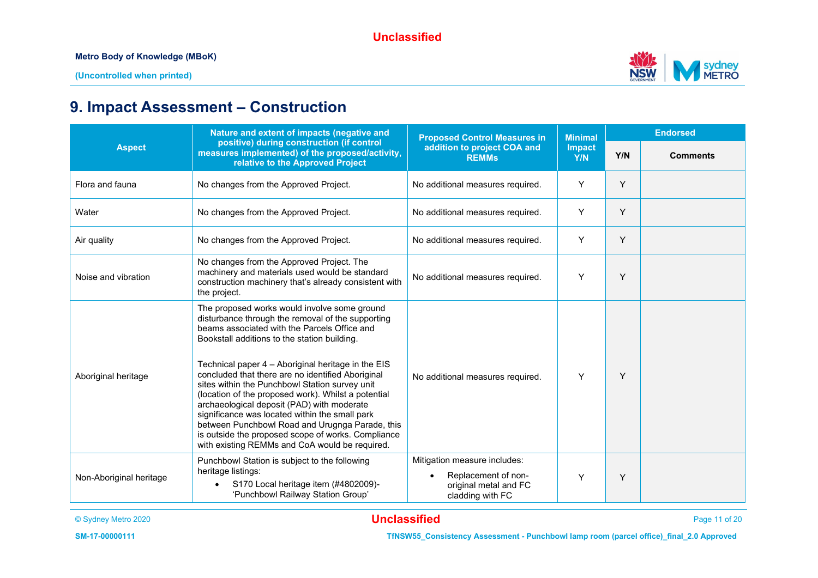

## **9. Impact Assessment – Construction**

|                                                                                                                                                   | Nature and extent of impacts (negative and                                                                                                                                                                                                                                                                                                                                                                                                                                                                                                                                                                                                                                       | <b>Proposed Control Measures in</b>                                                              | <b>Minimal</b>       | <b>Endorsed</b> |                 |
|---------------------------------------------------------------------------------------------------------------------------------------------------|----------------------------------------------------------------------------------------------------------------------------------------------------------------------------------------------------------------------------------------------------------------------------------------------------------------------------------------------------------------------------------------------------------------------------------------------------------------------------------------------------------------------------------------------------------------------------------------------------------------------------------------------------------------------------------|--------------------------------------------------------------------------------------------------|----------------------|-----------------|-----------------|
| positive) during construction (if control<br><b>Aspect</b><br>measures implemented) of the proposed/activity,<br>relative to the Approved Project |                                                                                                                                                                                                                                                                                                                                                                                                                                                                                                                                                                                                                                                                                  | addition to project COA and<br><b>REMMs</b>                                                      | <b>Impact</b><br>Y/N | Y/N             | <b>Comments</b> |
| Flora and fauna                                                                                                                                   | No changes from the Approved Project.                                                                                                                                                                                                                                                                                                                                                                                                                                                                                                                                                                                                                                            | No additional measures required.                                                                 | Y                    | Y               |                 |
| Water                                                                                                                                             | No changes from the Approved Project.                                                                                                                                                                                                                                                                                                                                                                                                                                                                                                                                                                                                                                            | No additional measures required.                                                                 | Y                    | Y               |                 |
| Air quality                                                                                                                                       | No changes from the Approved Project.                                                                                                                                                                                                                                                                                                                                                                                                                                                                                                                                                                                                                                            | No additional measures required.                                                                 | Y                    | Y               |                 |
| Noise and vibration                                                                                                                               | No changes from the Approved Project. The<br>machinery and materials used would be standard<br>construction machinery that's already consistent with<br>the project.                                                                                                                                                                                                                                                                                                                                                                                                                                                                                                             | No additional measures required.                                                                 | Y                    | Y               |                 |
| Aboriginal heritage                                                                                                                               | The proposed works would involve some ground<br>disturbance through the removal of the supporting<br>beams associated with the Parcels Office and<br>Bookstall additions to the station building.<br>Technical paper 4 - Aboriginal heritage in the EIS<br>concluded that there are no identified Aboriginal<br>sites within the Punchbowl Station survey unit<br>(location of the proposed work). Whilst a potential<br>archaeological deposit (PAD) with moderate<br>significance was located within the small park<br>between Punchbowl Road and Urugnga Parade, this<br>is outside the proposed scope of works. Compliance<br>with existing REMMs and CoA would be required. | No additional measures required.                                                                 | Y                    | Y               |                 |
| Non-Aboriginal heritage                                                                                                                           | Punchbowl Station is subject to the following<br>heritage listings:<br>S170 Local heritage item (#4802009)-<br>'Punchbowl Railway Station Group'                                                                                                                                                                                                                                                                                                                                                                                                                                                                                                                                 | Mitigation measure includes:<br>Replacement of non-<br>original metal and FC<br>cladding with FC | Υ                    | Y               |                 |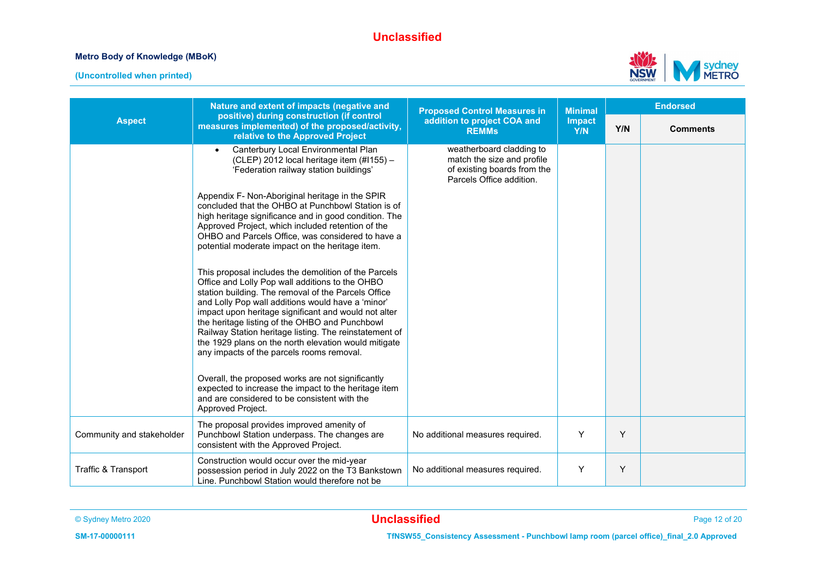#### **Metro Body of Knowledge (MBoK)**



|                           | Nature and extent of impacts (negative and                                                                                                                                                                                                                                                                                                                                                                                                                                                   | <b>Proposed Control Measures in</b>                                                                               | <b>Minimal</b> | <b>Endorsed</b> |                 |
|---------------------------|----------------------------------------------------------------------------------------------------------------------------------------------------------------------------------------------------------------------------------------------------------------------------------------------------------------------------------------------------------------------------------------------------------------------------------------------------------------------------------------------|-------------------------------------------------------------------------------------------------------------------|----------------|-----------------|-----------------|
| <b>Aspect</b>             | positive) during construction (if control<br>measures implemented) of the proposed/activity,<br>relative to the Approved Project                                                                                                                                                                                                                                                                                                                                                             | addition to project COA and<br><b>REMMs</b>                                                                       | Impact<br>Y/N  | Y/N             | <b>Comments</b> |
|                           | Canterbury Local Environmental Plan<br>(CLEP) 2012 local heritage item (#1155) -<br>'Federation railway station buildings'                                                                                                                                                                                                                                                                                                                                                                   | weatherboard cladding to<br>match the size and profile<br>of existing boards from the<br>Parcels Office addition. |                |                 |                 |
|                           | Appendix F- Non-Aboriginal heritage in the SPIR<br>concluded that the OHBO at Punchbowl Station is of<br>high heritage significance and in good condition. The<br>Approved Project, which included retention of the<br>OHBO and Parcels Office, was considered to have a<br>potential moderate impact on the heritage item.                                                                                                                                                                  |                                                                                                                   |                |                 |                 |
|                           | This proposal includes the demolition of the Parcels<br>Office and Lolly Pop wall additions to the OHBO<br>station building. The removal of the Parcels Office<br>and Lolly Pop wall additions would have a 'minor'<br>impact upon heritage significant and would not alter<br>the heritage listing of the OHBO and Punchbowl<br>Railway Station heritage listing. The reinstatement of<br>the 1929 plans on the north elevation would mitigate<br>any impacts of the parcels rooms removal. |                                                                                                                   |                |                 |                 |
|                           | Overall, the proposed works are not significantly<br>expected to increase the impact to the heritage item<br>and are considered to be consistent with the<br>Approved Project.                                                                                                                                                                                                                                                                                                               |                                                                                                                   |                |                 |                 |
| Community and stakeholder | The proposal provides improved amenity of<br>Punchbowl Station underpass. The changes are<br>consistent with the Approved Project.                                                                                                                                                                                                                                                                                                                                                           | No additional measures required.                                                                                  | Y              | Y               |                 |
| Traffic & Transport       | Construction would occur over the mid-year<br>possession period in July 2022 on the T3 Bankstown<br>Line. Punchbowl Station would therefore not be                                                                                                                                                                                                                                                                                                                                           | No additional measures required.                                                                                  | Y              | Y               |                 |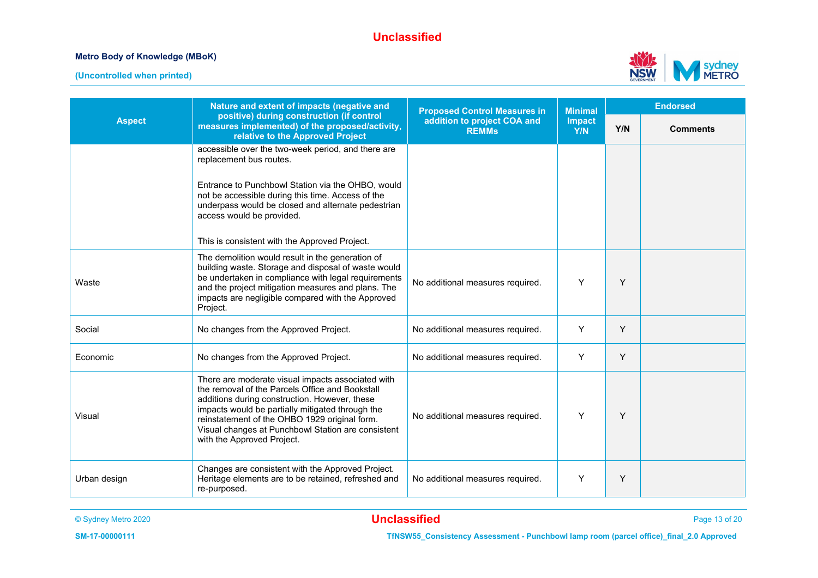#### **Metro Body of Knowledge (MBoK)**





|               | Nature and extent of impacts (negative and                                                                                                                                                                                                                                                                                                     | <b>Proposed Control Measures in</b>         | <b>Minimal</b>       | <b>Endorsed</b> |                 |  |
|---------------|------------------------------------------------------------------------------------------------------------------------------------------------------------------------------------------------------------------------------------------------------------------------------------------------------------------------------------------------|---------------------------------------------|----------------------|-----------------|-----------------|--|
| <b>Aspect</b> | positive) during construction (if control<br>measures implemented) of the proposed/activity,<br>relative to the Approved Project                                                                                                                                                                                                               | addition to project COA and<br><b>REMMs</b> | <b>Impact</b><br>Y/N | Y/N             | <b>Comments</b> |  |
|               | accessible over the two-week period, and there are<br>replacement bus routes.                                                                                                                                                                                                                                                                  |                                             |                      |                 |                 |  |
|               | Entrance to Punchbowl Station via the OHBO, would<br>not be accessible during this time. Access of the<br>underpass would be closed and alternate pedestrian<br>access would be provided.                                                                                                                                                      |                                             |                      |                 |                 |  |
|               | This is consistent with the Approved Project.                                                                                                                                                                                                                                                                                                  |                                             |                      |                 |                 |  |
| Waste         | The demolition would result in the generation of<br>building waste. Storage and disposal of waste would<br>be undertaken in compliance with legal requirements<br>and the project mitigation measures and plans. The<br>impacts are negligible compared with the Approved<br>Project.                                                          | No additional measures required.            | Y                    | Y               |                 |  |
| Social        | No changes from the Approved Project.                                                                                                                                                                                                                                                                                                          | No additional measures required.            | Y                    | Y               |                 |  |
| Economic      | No changes from the Approved Project.                                                                                                                                                                                                                                                                                                          | No additional measures required.            | Y                    | Y               |                 |  |
| Visual        | There are moderate visual impacts associated with<br>the removal of the Parcels Office and Bookstall<br>additions during construction. However, these<br>impacts would be partially mitigated through the<br>reinstatement of the OHBO 1929 original form.<br>Visual changes at Punchbowl Station are consistent<br>with the Approved Project. | No additional measures required.            | Y                    | Y               |                 |  |
| Urban design  | Changes are consistent with the Approved Project.<br>Heritage elements are to be retained, refreshed and<br>re-purposed.                                                                                                                                                                                                                       | No additional measures required.            | Y                    | Y               |                 |  |

© Sydney Metro 2020 **Unclassified** Page 13 of 20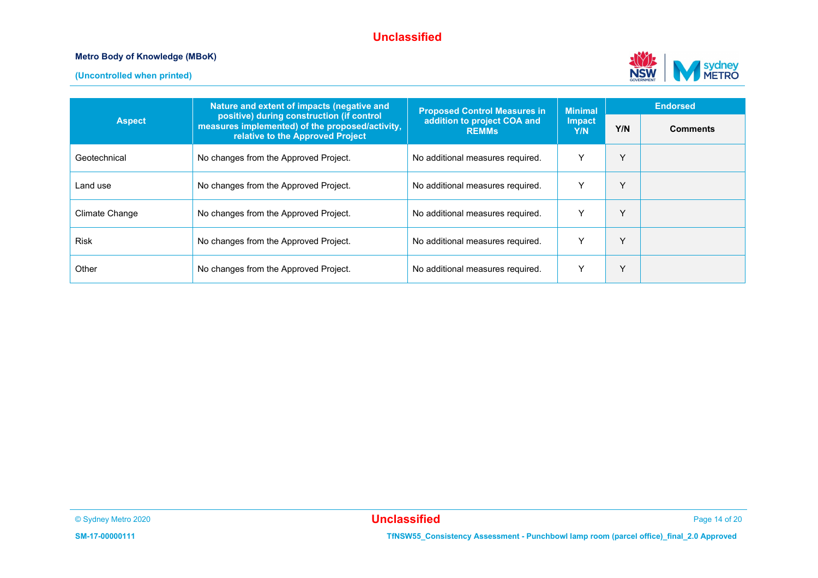#### **Metro Body of Knowledge (MBoK)**





|                | Nature and extent of impacts (negative and                                                                                       | <b>Proposed Control Measures in</b>         | <b>Minimal</b> | <b>Endorsed</b> |                 |
|----------------|----------------------------------------------------------------------------------------------------------------------------------|---------------------------------------------|----------------|-----------------|-----------------|
| <b>Aspect</b>  | positive) during construction (if control<br>measures implemented) of the proposed/activity,<br>relative to the Approved Project | addition to project COA and<br><b>REMMS</b> |                | Y/N             | <b>Comments</b> |
| Geotechnical   | No changes from the Approved Project.                                                                                            | No additional measures required.            | $\checkmark$   | v               |                 |
| Land use       | No changes from the Approved Project.                                                                                            | No additional measures required.            | $\check{ }$    | $\checkmark$    |                 |
| Climate Change | No changes from the Approved Project.                                                                                            | No additional measures required.            | $\checkmark$   | v               |                 |
| Risk           | No changes from the Approved Project.                                                                                            | No additional measures required.            | $\check{ }$    | Y               |                 |
| Other          | No changes from the Approved Project.                                                                                            | No additional measures required.            | $\checkmark$   | Υ               |                 |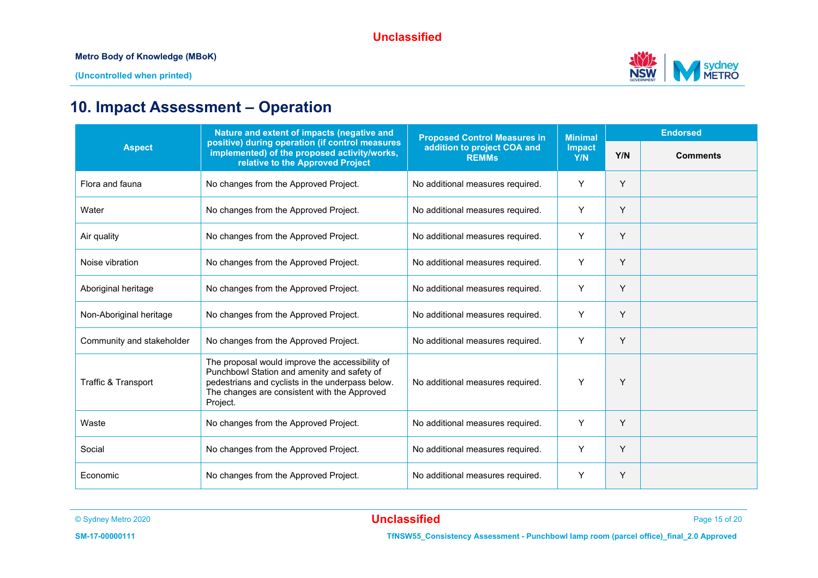

## **10. Impact Assessment – Operation**

|                                                                                                                                                      | Nature and extent of impacts (negative and                                                                                                                                                                     | <b>Proposed Control Measures in</b>         | <b>Minimal</b>       | <b>Endorsed</b> |                 |
|------------------------------------------------------------------------------------------------------------------------------------------------------|----------------------------------------------------------------------------------------------------------------------------------------------------------------------------------------------------------------|---------------------------------------------|----------------------|-----------------|-----------------|
| positive) during operation (if control measures<br><b>Aspect</b><br>implemented) of the proposed activity/works,<br>relative to the Approved Project |                                                                                                                                                                                                                | addition to project COA and<br><b>REMMs</b> | <b>Impact</b><br>Y/N | Y/N             | <b>Comments</b> |
| Flora and fauna                                                                                                                                      | No changes from the Approved Project.                                                                                                                                                                          | No additional measures required.            | Y                    | Y               |                 |
| Water                                                                                                                                                | No changes from the Approved Project.                                                                                                                                                                          | No additional measures required.            | Y                    | Y               |                 |
| Air quality                                                                                                                                          | No changes from the Approved Project.                                                                                                                                                                          | No additional measures required.            | Y                    | Y               |                 |
| Noise vibration                                                                                                                                      | No changes from the Approved Project.                                                                                                                                                                          | No additional measures required.            | Y                    | Y               |                 |
| Aboriginal heritage                                                                                                                                  | No changes from the Approved Project.                                                                                                                                                                          | No additional measures required.            | Y                    | Y               |                 |
| Non-Aboriginal heritage                                                                                                                              | No changes from the Approved Project.                                                                                                                                                                          | No additional measures required.            | Y                    | Y               |                 |
| Community and stakeholder                                                                                                                            | No changes from the Approved Project.                                                                                                                                                                          | No additional measures required.            | Y                    | Υ               |                 |
| Traffic & Transport                                                                                                                                  | The proposal would improve the accessibility of<br>Punchbowl Station and amenity and safety of<br>pedestrians and cyclists in the underpass below.<br>The changes are consistent with the Approved<br>Project. | No additional measures required.            | Y                    | Y               |                 |
| Waste                                                                                                                                                | No changes from the Approved Project.                                                                                                                                                                          | No additional measures required.            | Y                    | Y               |                 |
| Social                                                                                                                                               | No changes from the Approved Project.                                                                                                                                                                          | No additional measures required.            | Y                    | Y               |                 |
| Economic                                                                                                                                             | No changes from the Approved Project.                                                                                                                                                                          | No additional measures required.            | Y                    | Y               |                 |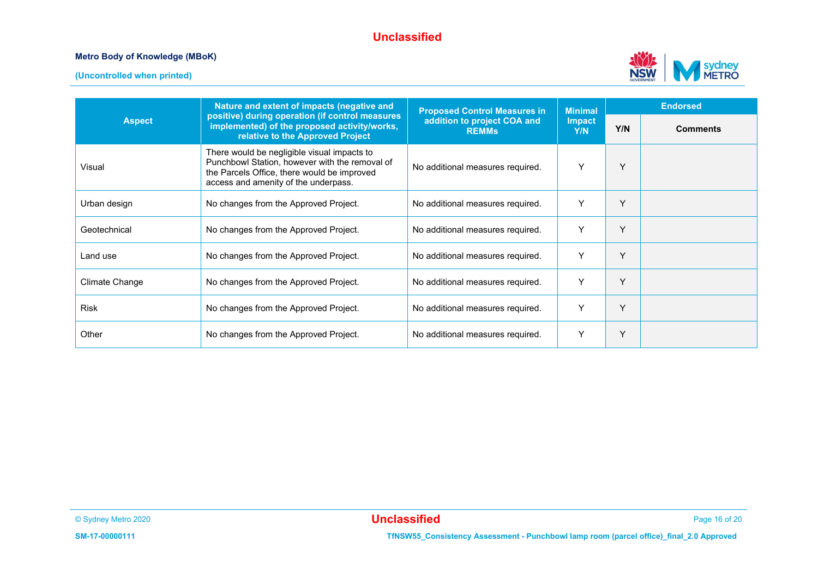#### **Metro Body of Knowledge (MBoK)**





|                | Nature and extent of impacts (negative and                                                                                                                                           | <b>Proposed Control Measures in</b>         | <b>Minimal</b>       | <b>Endorsed</b> |                 |
|----------------|--------------------------------------------------------------------------------------------------------------------------------------------------------------------------------------|---------------------------------------------|----------------------|-----------------|-----------------|
| <b>Aspect</b>  | positive) during operation (if control measures<br>implemented) of the proposed activity/works,<br>relative to the Approved Project                                                  | addition to project COA and<br><b>REMMS</b> | <b>Impact</b><br>Y/N | Y/N             | <b>Comments</b> |
| Visual         | There would be negligible visual impacts to<br>Punchbowl Station, however with the removal of<br>the Parcels Office, there would be improved<br>access and amenity of the underpass. | No additional measures required.            | Y                    | Υ               |                 |
| Urban design   | No changes from the Approved Project.                                                                                                                                                | No additional measures required.            | Y                    | Υ               |                 |
| Geotechnical   | No changes from the Approved Project.                                                                                                                                                | No additional measures required.            | Y                    | Y               |                 |
| Land use       | No changes from the Approved Project.                                                                                                                                                | No additional measures required.            | Y                    | Y               |                 |
| Climate Change | No changes from the Approved Project.                                                                                                                                                | No additional measures required.            | Y                    | Y               |                 |
| <b>Risk</b>    | No changes from the Approved Project.                                                                                                                                                | No additional measures required.            | Y                    | Y               |                 |
| Other          | No changes from the Approved Project.                                                                                                                                                | No additional measures required.            | Y                    | Y               |                 |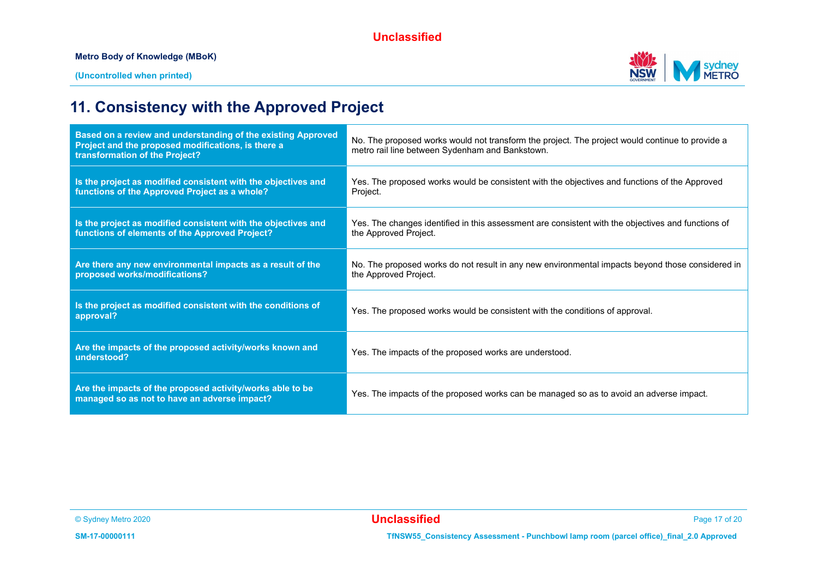

## **11. Consistency with the Approved Project**

| Based on a review and understanding of the existing Approved<br>Project and the proposed modifications, is there a<br>transformation of the Project? | No. The proposed works would not transform the project. The project would continue to provide a<br>metro rail line between Sydenham and Bankstown. |
|------------------------------------------------------------------------------------------------------------------------------------------------------|----------------------------------------------------------------------------------------------------------------------------------------------------|
| Is the project as modified consistent with the objectives and<br>functions of the Approved Project as a whole?                                       | Yes. The proposed works would be consistent with the objectives and functions of the Approved<br>Project.                                          |
| Is the project as modified consistent with the objectives and<br>functions of elements of the Approved Project?                                      | Yes. The changes identified in this assessment are consistent with the objectives and functions of<br>the Approved Project.                        |
| Are there any new environmental impacts as a result of the<br>proposed works/modifications?                                                          | No. The proposed works do not result in any new environmental impacts beyond those considered in<br>the Approved Project.                          |
| Is the project as modified consistent with the conditions of<br>approval?                                                                            | Yes. The proposed works would be consistent with the conditions of approval.                                                                       |
| Are the impacts of the proposed activity/works known and<br>understood?                                                                              | Yes. The impacts of the proposed works are understood.                                                                                             |
| Are the impacts of the proposed activity/works able to be<br>managed so as not to have an adverse impact?                                            | Yes. The impacts of the proposed works can be managed so as to avoid an adverse impact.                                                            |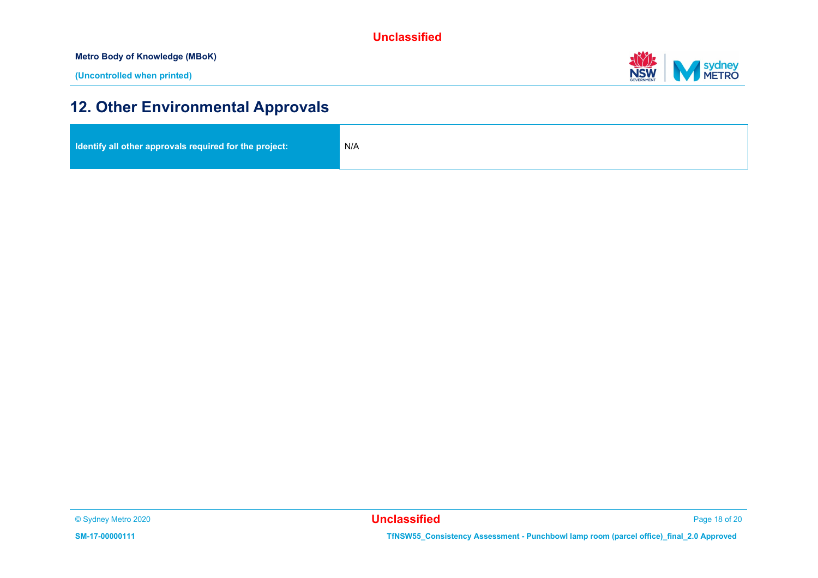**Metro Body of Knowledge (MBoK)**



## **12. Other Environmental Approvals**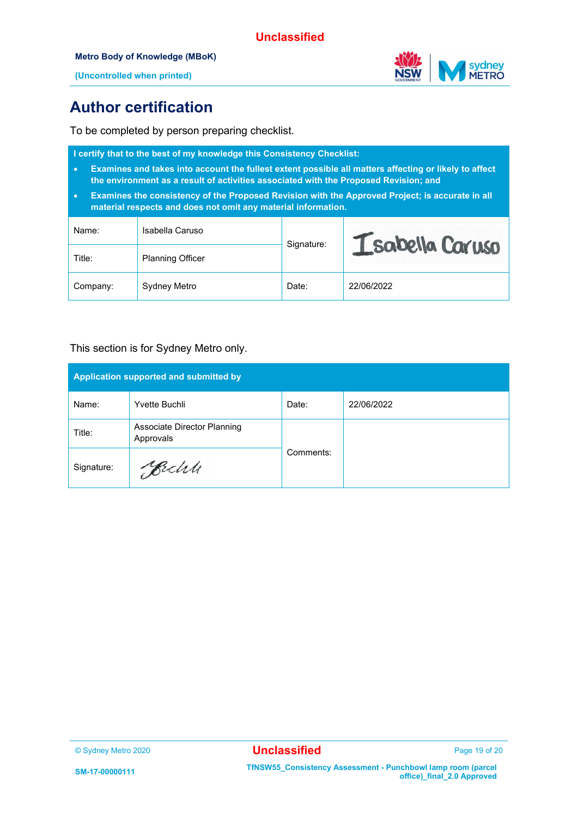#### **Metro Body of Knowledge (MBoK)**



**(Uncontrolled when printed)**

### **Author certification**

To be completed by person preparing checklist.

| I certify that to the best of my knowledge this Consistency Checklist:<br>Examines and takes into account the fullest extent possible all matters affecting or likely to affect<br>$\bullet$<br>the environment as a result of activities associated with the Proposed Revision; and<br>Examines the consistency of the Proposed Revision with the Approved Project; is accurate in all<br>$\bullet$<br>material respects and does not omit any material information. |                         |            |                  |  |  |  |
|-----------------------------------------------------------------------------------------------------------------------------------------------------------------------------------------------------------------------------------------------------------------------------------------------------------------------------------------------------------------------------------------------------------------------------------------------------------------------|-------------------------|------------|------------------|--|--|--|
| Name:                                                                                                                                                                                                                                                                                                                                                                                                                                                                 | Isabella Caruso         |            | I sabella Caruso |  |  |  |
| Title:                                                                                                                                                                                                                                                                                                                                                                                                                                                                | <b>Planning Officer</b> | Signature: |                  |  |  |  |
| Company:                                                                                                                                                                                                                                                                                                                                                                                                                                                              | Sydney Metro            | Date:      | 22/06/2022       |  |  |  |

#### This section is for Sydney Metro only.

| Application supported and submitted by |                                          |           |            |  |  |
|----------------------------------------|------------------------------------------|-----------|------------|--|--|
| Name:                                  | Yvette Buchli                            | Date:     | 22/06/2022 |  |  |
| Title:                                 | Associate Director Planning<br>Approvals |           |            |  |  |
| Signature:                             | Bechle                                   | Comments: |            |  |  |